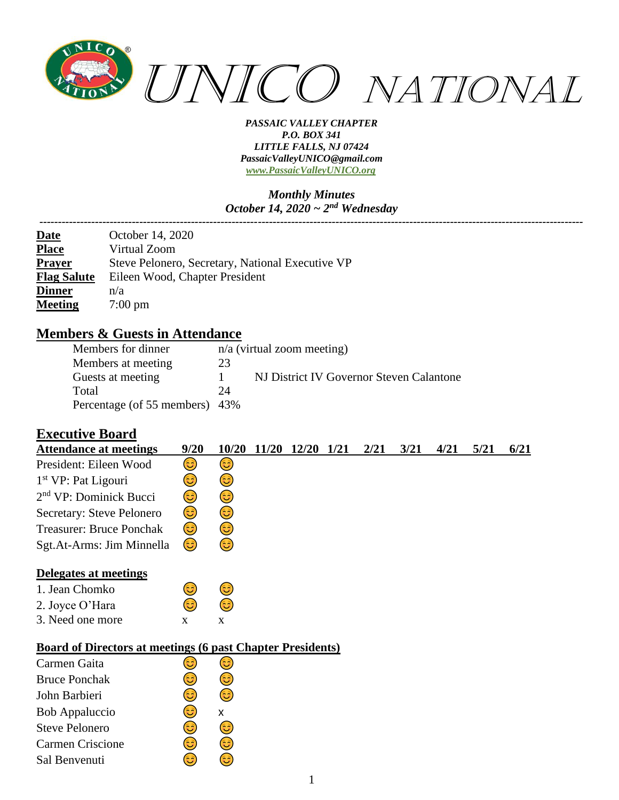

*Monthly Minutes October 14, 2020 ~ 2nd Wednesday*

| <b>Date</b>        | October 14, 2020                                 |
|--------------------|--------------------------------------------------|
| <b>Place</b>       | Virtual Zoom                                     |
| <b>Prayer</b>      | Steve Pelonero, Secretary, National Executive VP |
| <b>Flag Salute</b> | Eileen Wood, Chapter President                   |
| <b>Dinner</b>      | n/a                                              |
| <b>Meeting</b>     | $7:00 \text{ pm}$                                |
|                    |                                                  |

### **Members & Guests in Attendance**

| Members for dinner             |    | $n/a$ (virtual zoom meeting)             |
|--------------------------------|----|------------------------------------------|
| Members at meeting             | 23 |                                          |
| Guests at meeting              |    | NJ District IV Governor Steven Calantone |
| Total                          | 24 |                                          |
| Percentage (of 55 members) 43% |    |                                          |

## **Executive Board**

| <b>Attendance at meetings</b>                                     | 9/20         | 10/20 | 11/20 | <b>12/20</b> | 1/21 | 2/21 | 3/21 | 4/21 | 5/21 | 6/21 |
|-------------------------------------------------------------------|--------------|-------|-------|--------------|------|------|------|------|------|------|
| President: Eileen Wood                                            | 3)           | 3)    |       |              |      |      |      |      |      |      |
| 1 <sup>st</sup> VP: Pat Ligouri                                   | 3            | 3)    |       |              |      |      |      |      |      |      |
| 2 <sup>nd</sup> VP: Dominick Bucci                                | 3            | 3     |       |              |      |      |      |      |      |      |
| Secretary: Steve Pelonero                                         | 3)           | 3)    |       |              |      |      |      |      |      |      |
| Treasurer: Bruce Ponchak                                          | 3)           | 3)    |       |              |      |      |      |      |      |      |
| Sgt.At-Arms: Jim Minnella                                         | 3)           | 3)    |       |              |      |      |      |      |      |      |
| Delegates at meetings                                             |              |       |       |              |      |      |      |      |      |      |
| 1. Jean Chomko                                                    | 3            | 3)    |       |              |      |      |      |      |      |      |
| 2. Joyce O'Hara                                                   | 3            | 3     |       |              |      |      |      |      |      |      |
| 3. Need one more                                                  | $\mathbf{x}$ | X     |       |              |      |      |      |      |      |      |
| <b>Board of Directors at meetings (6 past Chapter Presidents)</b> |              |       |       |              |      |      |      |      |      |      |
| Carmen Gaita                                                      | 63           | ಡಿ    |       |              |      |      |      |      |      |      |
| <b>Bruce Ponchak</b>                                              | 63           | 63    |       |              |      |      |      |      |      |      |
|                                                                   |              |       |       |              |      |      |      |      |      |      |

| <b>Bruce Ponchak</b>  |    |     |  |
|-----------------------|----|-----|--|
| John Barbieri         | 63 |     |  |
| Bob Appaluccio        | 63 | x   |  |
| <b>Steve Pelonero</b> | ć۵ | 65) |  |
| Carmen Criscione      |    |     |  |
| Sal Benvenuti         |    |     |  |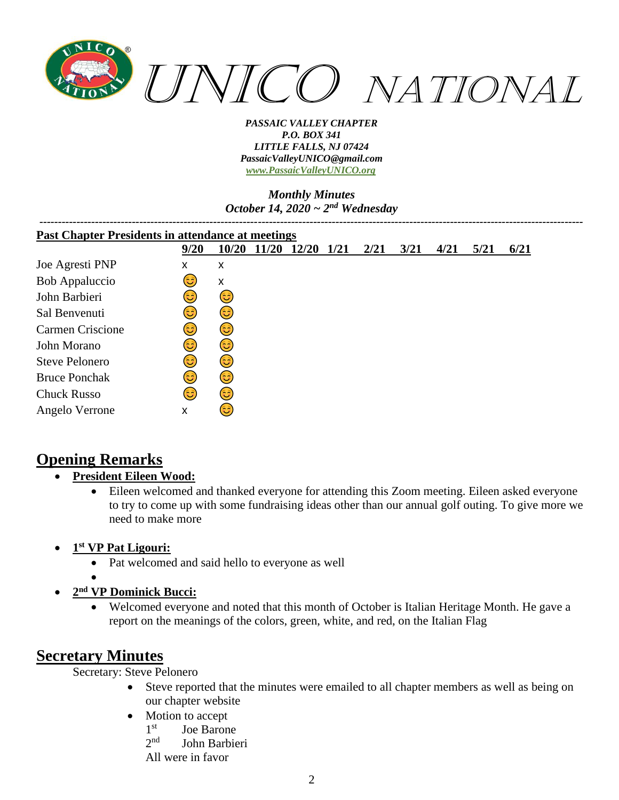

### *Monthly Minutes October 14, 2020 ~ 2nd Wednesday*

| <b>Past Chapter Presidents in attendance at meetings</b> |      |       |              |       |      |      |      |      |      |      |
|----------------------------------------------------------|------|-------|--------------|-------|------|------|------|------|------|------|
|                                                          | 9/20 | 10/20 | <b>11/20</b> | 12/20 | 1/21 | 2/21 | 3/21 | 4/21 | 5/21 | 6/21 |
| Joe Agresti PNP                                          | X    | x     |              |       |      |      |      |      |      |      |
| Bob Appaluccio                                           | ತಿ   | X     |              |       |      |      |      |      |      |      |
| John Barbieri                                            | ಡಿ   | 3)    |              |       |      |      |      |      |      |      |
| Sal Benvenuti                                            | ಡಿ   | 3)    |              |       |      |      |      |      |      |      |
| <b>Carmen Criscione</b>                                  | ಡಿ   | 3)    |              |       |      |      |      |      |      |      |
| John Morano                                              | ಡಿ   | 3     |              |       |      |      |      |      |      |      |
| <b>Steve Pelonero</b>                                    | ಡಿ   | 3)    |              |       |      |      |      |      |      |      |
| <b>Bruce Ponchak</b>                                     | ಡಿ   | (3    |              |       |      |      |      |      |      |      |
| <b>Chuck Russo</b>                                       | ದಿ   | 3     |              |       |      |      |      |      |      |      |
| Angelo Verrone                                           | X    | ತಿ    |              |       |      |      |      |      |      |      |

# **Opening Remarks**

- **President Eileen Wood:**
	- Eileen welcomed and thanked everyone for attending this Zoom meeting. Eileen asked everyone to try to come up with some fundraising ideas other than our annual golf outing. To give more we need to make more
- **1 st VP Pat Ligouri:**
	- Pat welcomed and said hello to everyone as well
	- •
- **2 nd VP Dominick Bucci:**
	- Welcomed everyone and noted that this month of October is Italian Heritage Month. He gave a report on the meanings of the colors, green, white, and red, on the Italian Flag

# **Secretary Minutes**

Secretary: Steve Pelonero

- Steve reported that the minutes were emailed to all chapter members as well as being on our chapter website
- Motion to accept
	- $1<sup>st</sup>$ Joe Barone

 $2<sub>n</sub>$ d John Barbieri

All were in favor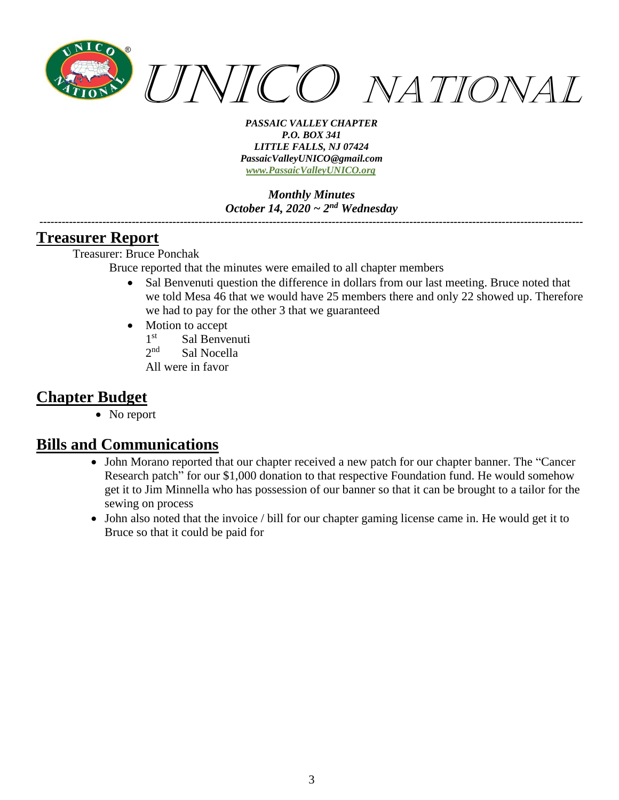

*Monthly Minutes October 14, 2020 ~ 2nd Wednesday*

*---------------------------------------------------------------------------------------------------------------------------------------------------*

## **Treasurer Report**

Treasurer: Bruce Ponchak

Bruce reported that the minutes were emailed to all chapter members

- Sal Benvenuti question the difference in dollars from our last meeting. Bruce noted that we told Mesa 46 that we would have 25 members there and only 22 showed up. Therefore we had to pay for the other 3 that we guaranteed
- Motion to accept
	- $1<sup>st</sup>$ Sal Benvenuti
	- $2<sub>nd</sub>$ Sal Nocella
	- All were in favor

# **Chapter Budget**

• No report

## **Bills and Communications**

- John Morano reported that our chapter received a new patch for our chapter banner. The "Cancer Research patch" for our \$1,000 donation to that respective Foundation fund. He would somehow get it to Jim Minnella who has possession of our banner so that it can be brought to a tailor for the sewing on process
- John also noted that the invoice / bill for our chapter gaming license came in. He would get it to Bruce so that it could be paid for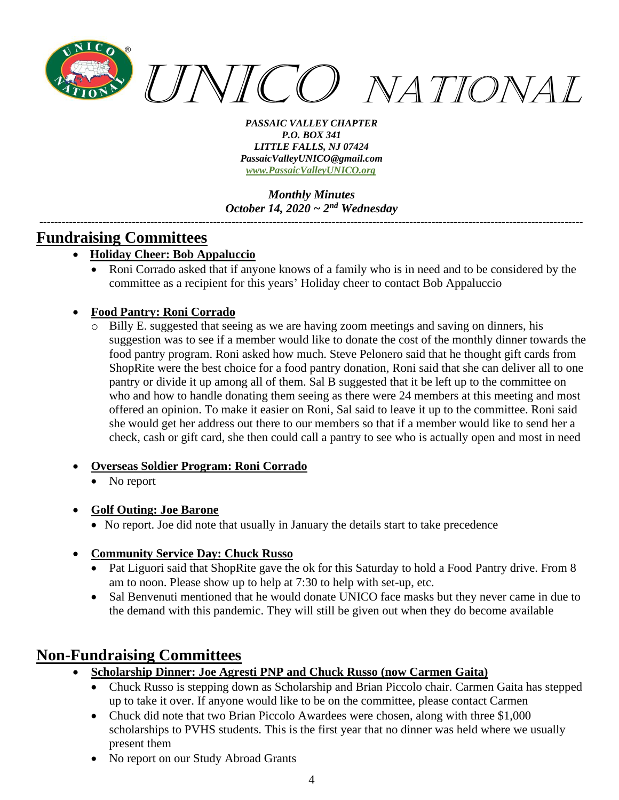

*Monthly Minutes October 14, 2020 ~ 2nd Wednesday*

*---------------------------------------------------------------------------------------------------------------------------------------------------*

## **Fundraising Committees**

- **Holiday Cheer: Bob Appaluccio**
	- Roni Corrado asked that if anyone knows of a family who is in need and to be considered by the committee as a recipient for this years' Holiday cheer to contact Bob Appaluccio

## • **Food Pantry: Roni Corrado**

Billy E. suggested that seeing as we are having zoom meetings and saving on dinners, his suggestion was to see if a member would like to donate the cost of the monthly dinner towards the food pantry program. Roni asked how much. Steve Pelonero said that he thought gift cards from ShopRite were the best choice for a food pantry donation, Roni said that she can deliver all to one pantry or divide it up among all of them. Sal B suggested that it be left up to the committee on who and how to handle donating them seeing as there were 24 members at this meeting and most offered an opinion. To make it easier on Roni, Sal said to leave it up to the committee. Roni said she would get her address out there to our members so that if a member would like to send her a check, cash or gift card, she then could call a pantry to see who is actually open and most in need

### • **Overseas Soldier Program: Roni Corrado**

• No report

### • **Golf Outing: Joe Barone**

• No report. Joe did note that usually in January the details start to take precedence

### • **Community Service Day: Chuck Russo**

- Pat Liguori said that ShopRite gave the ok for this Saturday to hold a Food Pantry drive. From 8 am to noon. Please show up to help at 7:30 to help with set-up, etc.
- Sal Benvenuti mentioned that he would donate UNICO face masks but they never came in due to the demand with this pandemic. They will still be given out when they do become available

## **Non-Fundraising Committees**

- **Scholarship Dinner: Joe Agresti PNP and Chuck Russo (now Carmen Gaita)**
	- Chuck Russo is stepping down as Scholarship and Brian Piccolo chair. Carmen Gaita has stepped up to take it over. If anyone would like to be on the committee, please contact Carmen
	- Chuck did note that two Brian Piccolo Awardees were chosen, along with three \$1,000 scholarships to PVHS students. This is the first year that no dinner was held where we usually present them
	- No report on our Study Abroad Grants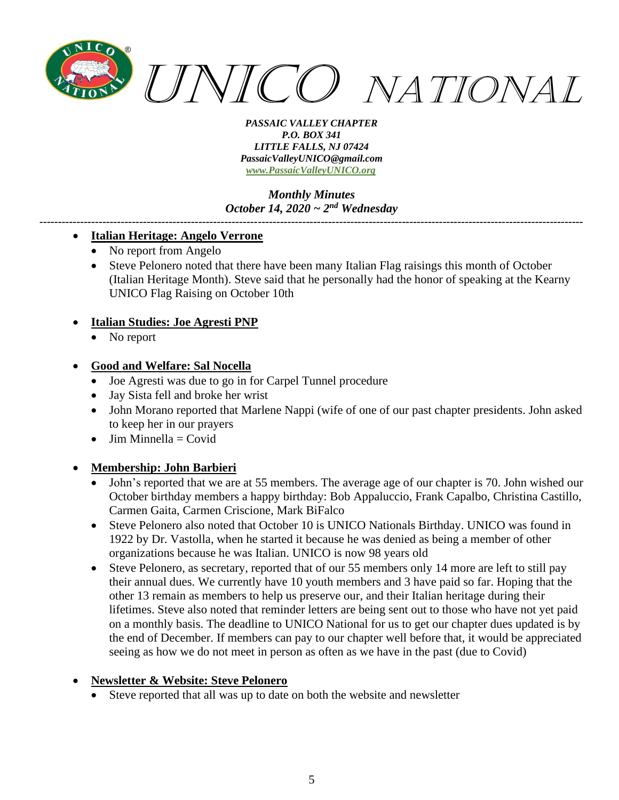

*Monthly Minutes October 14, 2020 ~ 2nd Wednesday*

*---------------------------------------------------------------------------------------------------------------------------------------------------*

#### • **Italian Heritage: Angelo Verrone**

- No report from Angelo
- Steve Pelonero noted that there have been many Italian Flag raisings this month of October (Italian Heritage Month). Steve said that he personally had the honor of speaking at the Kearny UNICO Flag Raising on October 10th

#### • **Italian Studies: Joe Agresti PNP**

No report

#### • **Good and Welfare: Sal Nocella**

- Joe Agresti was due to go in for Carpel Tunnel procedure
- Jay Sista fell and broke her wrist
- John Morano reported that Marlene Nappi (wife of one of our past chapter presidents. John asked to keep her in our prayers
- $\bullet$  Jim Minnella = Covid

### • **Membership: John Barbieri**

- John's reported that we are at 55 members. The average age of our chapter is 70. John wished our October birthday members a happy birthday: Bob Appaluccio, Frank Capalbo, Christina Castillo, Carmen Gaita, Carmen Criscione, Mark BiFalco
- Steve Pelonero also noted that October 10 is UNICO Nationals Birthday. UNICO was found in 1922 by Dr. Vastolla, when he started it because he was denied as being a member of other organizations because he was Italian. UNICO is now 98 years old
- Steve Pelonero, as secretary, reported that of our 55 members only 14 more are left to still pay their annual dues. We currently have 10 youth members and 3 have paid so far. Hoping that the other 13 remain as members to help us preserve our, and their Italian heritage during their lifetimes. Steve also noted that reminder letters are being sent out to those who have not yet paid on a monthly basis. The deadline to UNICO National for us to get our chapter dues updated is by the end of December. If members can pay to our chapter well before that, it would be appreciated seeing as how we do not meet in person as often as we have in the past (due to Covid)

### • **Newsletter & Website: Steve Pelonero**

Steve reported that all was up to date on both the website and newsletter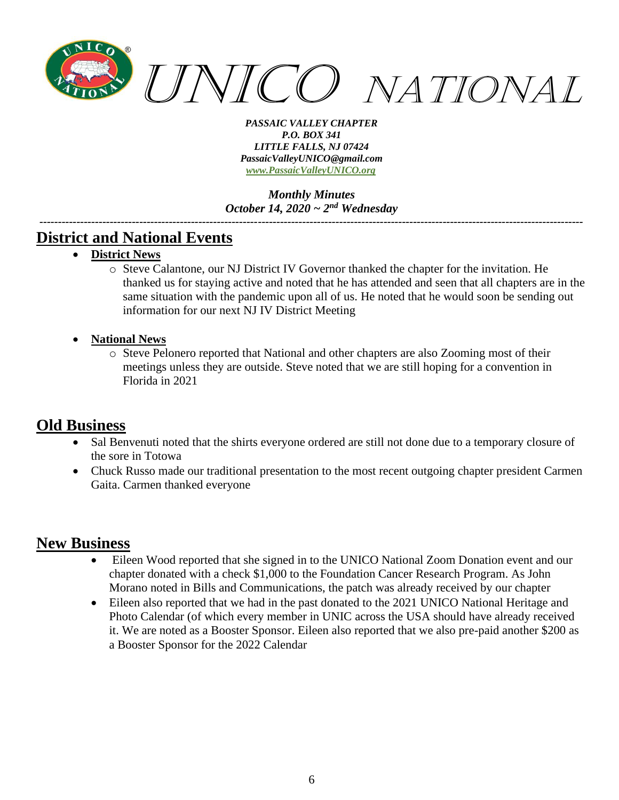

*Monthly Minutes October 14, 2020 ~ 2nd Wednesday*

*---------------------------------------------------------------------------------------------------------------------------------------------------*

## **District and National Events**

- **District News**
	- o Steve Calantone, our NJ District IV Governor thanked the chapter for the invitation. He thanked us for staying active and noted that he has attended and seen that all chapters are in the same situation with the pandemic upon all of us. He noted that he would soon be sending out information for our next NJ IV District Meeting
- **National News**
	- o Steve Pelonero reported that National and other chapters are also Zooming most of their meetings unless they are outside. Steve noted that we are still hoping for a convention in Florida in 2021

## **Old Business**

- Sal Benvenuti noted that the shirts everyone ordered are still not done due to a temporary closure of the sore in Totowa
- Chuck Russo made our traditional presentation to the most recent outgoing chapter president Carmen Gaita. Carmen thanked everyone

## **New Business**

- Eileen Wood reported that she signed in to the UNICO National Zoom Donation event and our chapter donated with a check \$1,000 to the Foundation Cancer Research Program. As John Morano noted in Bills and Communications, the patch was already received by our chapter
- Eileen also reported that we had in the past donated to the 2021 UNICO National Heritage and Photo Calendar (of which every member in UNIC across the USA should have already received it. We are noted as a Booster Sponsor. Eileen also reported that we also pre-paid another \$200 as a Booster Sponsor for the 2022 Calendar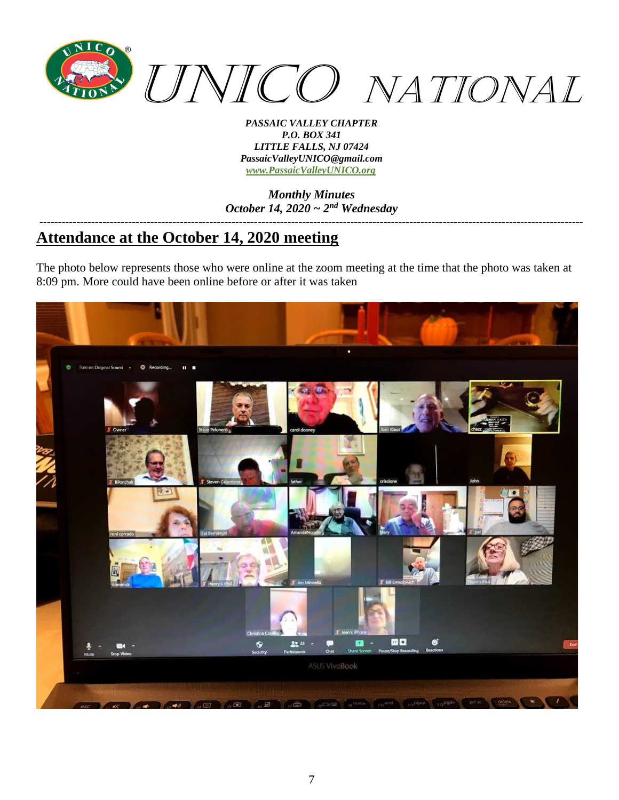

*Monthly Minutes October 14, 2020 ~ 2nd Wednesday*

### *---------------------------------------------------------------------------------------------------------------------------------------------------* **Attendance at the October 14, 2020 meeting**

The photo below represents those who were online at the zoom meeting at the time that the photo was taken at 8:09 pm. More could have been online before or after it was taken